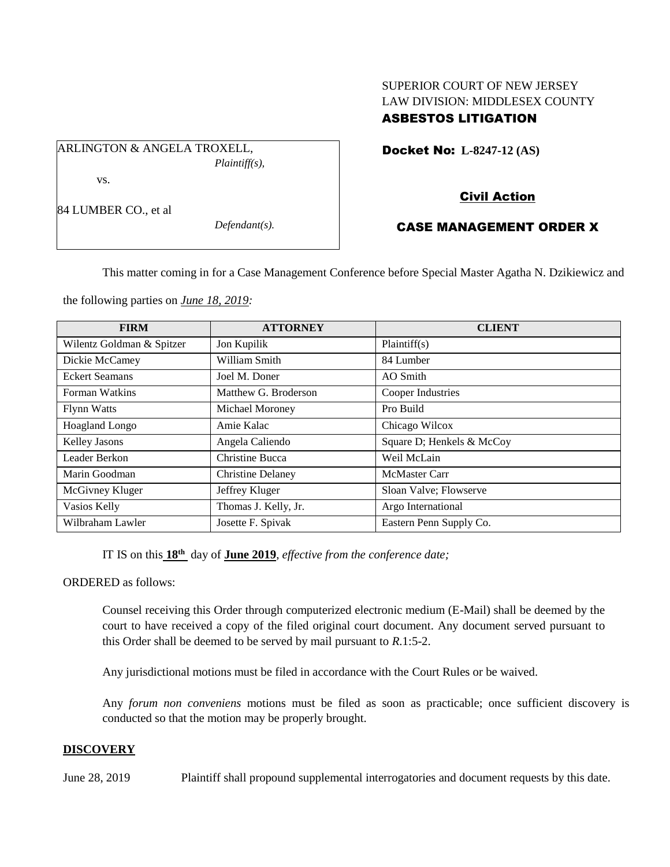# SUPERIOR COURT OF NEW JERSEY LAW DIVISION: MIDDLESEX COUNTY ASBESTOS LITIGATION

Docket No: **L-8247-12 (AS)** 

ARLINGTON & ANGELA TROXELL, *Plaintiff(s),* vs.

84 LUMBER CO., et al

*Defendant(s).*

# Civil Action

# CASE MANAGEMENT ORDER X

This matter coming in for a Case Management Conference before Special Master Agatha N. Dzikiewicz and

the following parties on *June 18, 2019:*

| <b>FIRM</b>               | <b>ATTORNEY</b>          | <b>CLIENT</b>             |
|---------------------------|--------------------------|---------------------------|
| Wilentz Goldman & Spitzer | Jon Kupilik              | Plaintiff(s)              |
| Dickie McCamey            | William Smith            | 84 Lumber                 |
| <b>Eckert Seamans</b>     | Joel M. Doner            | AO Smith                  |
| Forman Watkins            | Matthew G. Broderson     | Cooper Industries         |
| <b>Flynn Watts</b>        | Michael Moroney          | Pro Build                 |
| <b>Hoagland Longo</b>     | Amie Kalac               | Chicago Wilcox            |
| Kelley Jasons             | Angela Caliendo          | Square D; Henkels & McCoy |
| Leader Berkon             | Christine Bucca          | Weil McLain               |
| Marin Goodman             | <b>Christine Delaney</b> | <b>McMaster Carr</b>      |
| McGivney Kluger           | Jeffrey Kluger           | Sloan Valve; Flowserve    |
| Vasios Kelly              | Thomas J. Kelly, Jr.     | Argo International        |
| Wilbraham Lawler          | Josette F. Spivak        | Eastern Penn Supply Co.   |

IT IS on this  $18<sup>th</sup>$  day of **June 2019**, *effective from the conference date*;

ORDERED as follows:

Counsel receiving this Order through computerized electronic medium (E-Mail) shall be deemed by the court to have received a copy of the filed original court document. Any document served pursuant to this Order shall be deemed to be served by mail pursuant to *R*.1:5-2.

Any jurisdictional motions must be filed in accordance with the Court Rules or be waived.

Any *forum non conveniens* motions must be filed as soon as practicable; once sufficient discovery is conducted so that the motion may be properly brought.

#### **DISCOVERY**

June 28, 2019 Plaintiff shall propound supplemental interrogatories and document requests by this date.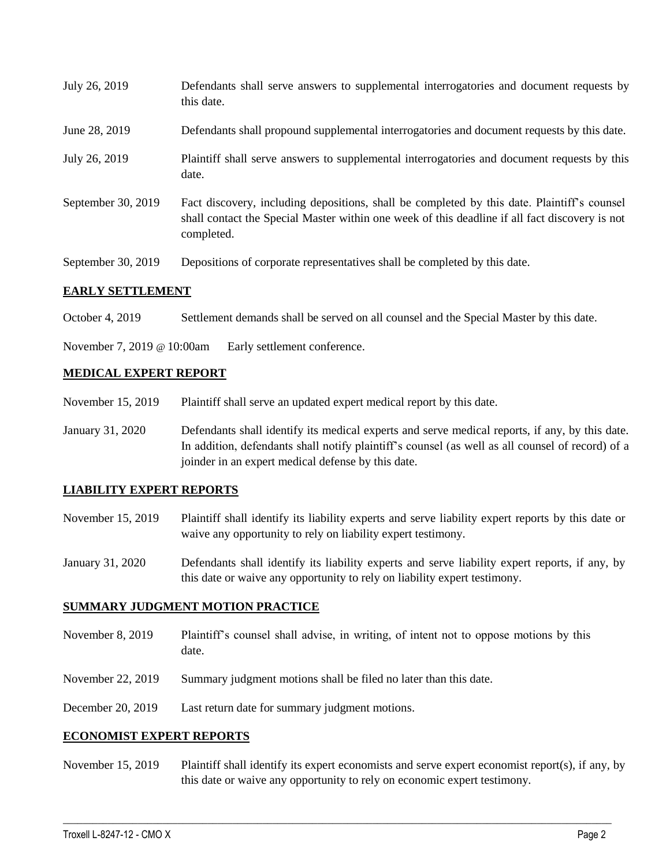| July 26, 2019           | Defendants shall serve answers to supplemental interrogatories and document requests by<br>this date.                                                                                                       |
|-------------------------|-------------------------------------------------------------------------------------------------------------------------------------------------------------------------------------------------------------|
| June 28, 2019           | Defendants shall propound supplemental interrogatories and document requests by this date.                                                                                                                  |
| July 26, 2019           | Plaintiff shall serve answers to supplemental interrogatories and document requests by this<br>date.                                                                                                        |
| September 30, 2019      | Fact discovery, including depositions, shall be completed by this date. Plaintiff's counsel<br>shall contact the Special Master within one week of this deadline if all fact discovery is not<br>completed. |
| September 30, 2019      | Depositions of corporate representatives shall be completed by this date.                                                                                                                                   |
| <b>EARLY SETTLEMENT</b> |                                                                                                                                                                                                             |

#### October 4, 2019 Settlement demands shall be served on all counsel and the Special Master by this date.

November 7, 2019 @ 10:00am Early settlement conference.

#### **MEDICAL EXPERT REPORT**

November 15, 2019 Plaintiff shall serve an updated expert medical report by this date.

January 31, 2020 Defendants shall identify its medical experts and serve medical reports, if any, by this date. In addition, defendants shall notify plaintiff's counsel (as well as all counsel of record) of a joinder in an expert medical defense by this date.

### **LIABILITY EXPERT REPORTS**

- November 15, 2019 Plaintiff shall identify its liability experts and serve liability expert reports by this date or waive any opportunity to rely on liability expert testimony.
- January 31, 2020 Defendants shall identify its liability experts and serve liability expert reports, if any, by this date or waive any opportunity to rely on liability expert testimony.

#### **SUMMARY JUDGMENT MOTION PRACTICE**

- November 8, 2019 Plaintiff's counsel shall advise, in writing, of intent not to oppose motions by this date.
- November 22, 2019 Summary judgment motions shall be filed no later than this date.
- December 20, 2019 Last return date for summary judgment motions.

### **ECONOMIST EXPERT REPORTS**

November 15, 2019 Plaintiff shall identify its expert economists and serve expert economist report(s), if any, by this date or waive any opportunity to rely on economic expert testimony.

 $\_$  , and the set of the set of the set of the set of the set of the set of the set of the set of the set of the set of the set of the set of the set of the set of the set of the set of the set of the set of the set of th